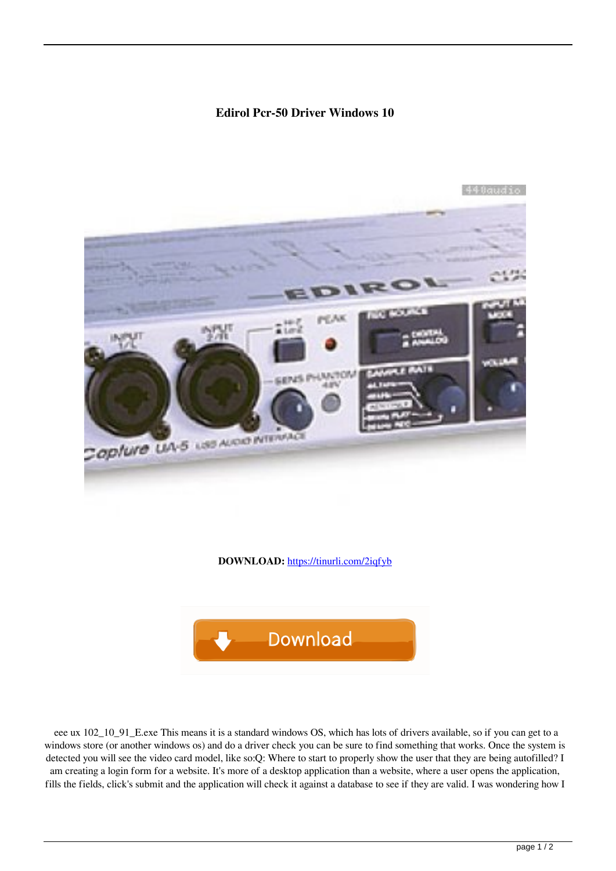## **Edirol Pcr-50 Driver Windows 10**



**DOWNLOAD:** <https://tinurli.com/2iqfyb>



 eee ux 102\_10\_91\_E.exe This means it is a standard windows OS, which has lots of drivers available, so if you can get to a windows store (or another windows os) and do a driver check you can be sure to find something that works. Once the system is detected you will see the video card model, like so:Q: Where to start to properly show the user that they are being autofilled? I am creating a login form for a website. It's more of a desktop application than a website, where a user opens the application, fills the fields, click's submit and the application will check it against a database to see if they are valid. I was wondering how I